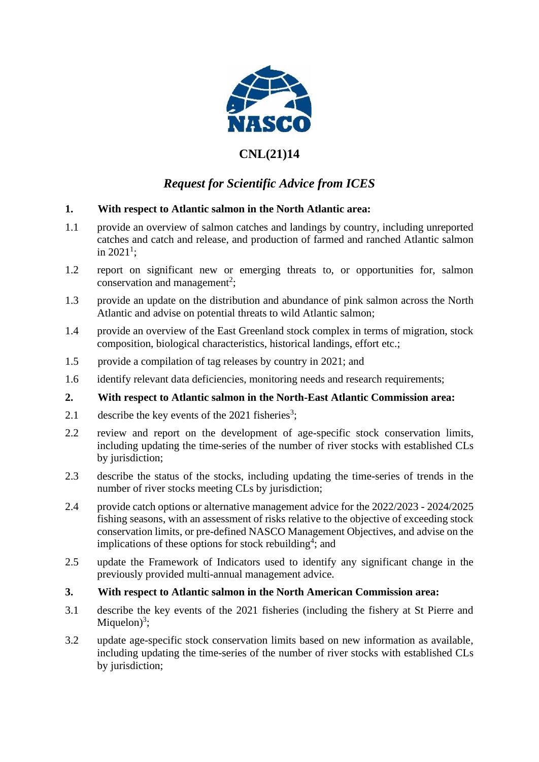

## **CNL(21)14**

# *Request for Scientific Advice from ICES*

### **1. With respect to Atlantic salmon in the North Atlantic area:**

- 1.1 provide an overview of salmon catches and landings by country, including unreported catches and catch and release, and production of farmed and ranched Atlantic salmon in 2021<sup>1</sup>;
- 1.2 report on significant new or emerging threats to, or opportunities for, salmon conservation and management<sup>2</sup>;
- 1.3 provide an update on the distribution and abundance of pink salmon across the North Atlantic and advise on potential threats to wild Atlantic salmon;
- 1.4 provide an overview of the East Greenland stock complex in terms of migration, stock composition, biological characteristics, historical landings, effort etc.;
- 1.5 provide a compilation of tag releases by country in 2021; and
- 1.6 identify relevant data deficiencies, monitoring needs and research requirements;

#### **2. With respect to Atlantic salmon in the North-East Atlantic Commission area:**

- 2.1 describe the key events of the  $2021$  fisheries<sup>3</sup>;
- 2.2 review and report on the development of age-specific stock conservation limits, including updating the time-series of the number of river stocks with established CLs by jurisdiction;
- 2.3 describe the status of the stocks, including updating the time-series of trends in the number of river stocks meeting CLs by jurisdiction;
- 2.4 provide catch options or alternative management advice for the 2022/2023 2024/2025 fishing seasons, with an assessment of risks relative to the objective of exceeding stock conservation limits, or pre-defined NASCO Management Objectives, and advise on the implications of these options for stock rebuilding<sup>4</sup>; and
- 2.5 update the Framework of Indicators used to identify any significant change in the previously provided multi-annual management advice.
- **3. With respect to Atlantic salmon in the North American Commission area:**
- 3.1 describe the key events of the 2021 fisheries (including the fishery at St Pierre and Miquelon $)^3$ ;
- 3.2 update age-specific stock conservation limits based on new information as available, including updating the time-series of the number of river stocks with established CLs by jurisdiction;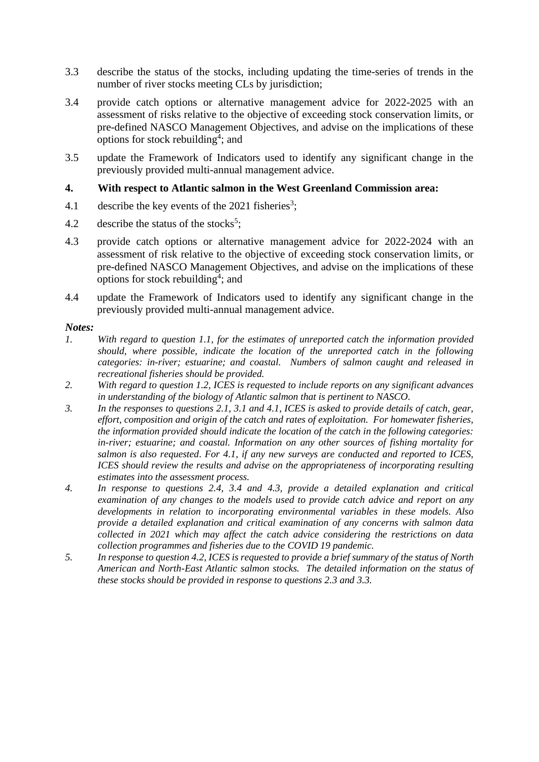- 3.3 describe the status of the stocks, including updating the time-series of trends in the number of river stocks meeting CLs by jurisdiction;
- 3.4 provide catch options or alternative management advice for 2022-2025 with an assessment of risks relative to the objective of exceeding stock conservation limits, or pre-defined NASCO Management Objectives, and advise on the implications of these options for stock rebuilding<sup>4</sup>; and
- 3.5 update the Framework of Indicators used to identify any significant change in the previously provided multi-annual management advice.

#### **4. With respect to Atlantic salmon in the West Greenland Commission area:**

- 4.1 describe the key events of the 2021 fisheries<sup>3</sup>;
- 4.2 describe the status of the stocks<sup>5</sup>;
- 4.3 provide catch options or alternative management advice for 2022-2024 with an assessment of risk relative to the objective of exceeding stock conservation limits, or pre-defined NASCO Management Objectives, and advise on the implications of these options for stock rebuilding<sup>4</sup>; and
- 4.4 update the Framework of Indicators used to identify any significant change in the previously provided multi-annual management advice.

#### *Notes:*

- *1. With regard to question 1.1, for the estimates of unreported catch the information provided should, where possible, indicate the location of the unreported catch in the following categories: in-river; estuarine; and coastal. Numbers of salmon caught and released in recreational fisheries should be provided.*
- *2. With regard to question 1.2, ICES is requested to include reports on any significant advances in understanding of the biology of Atlantic salmon that is pertinent to NASCO.*
- *3. In the responses to questions 2.1, 3.1 and 4.1, ICES is asked to provide details of catch, gear, effort, composition and origin of the catch and rates of exploitation. For homewater fisheries, the information provided should indicate the location of the catch in the following categories: in-river; estuarine; and coastal. Information on any other sources of fishing mortality for salmon is also requested*. *For 4.1, if any new surveys are conducted and reported to ICES, ICES should review the results and advise on the appropriateness of incorporating resulting estimates into the assessment process.*
- *4. In response to questions 2.4, 3.4 and 4.3, provide a detailed explanation and critical examination of any changes to the models used to provide catch advice and report on any developments in relation to incorporating environmental variables in these models. Also provide a detailed explanation and critical examination of any concerns with salmon data collected in 2021 which may affect the catch advice considering the restrictions on data collection programmes and fisheries due to the COVID 19 pandemic.*
- *5. In response to question 4.2, ICES is requested to provide a brief summary of the status of North American and North-East Atlantic salmon stocks. The detailed information on the status of these stocks should be provided in response to questions 2.3 and 3.3.*